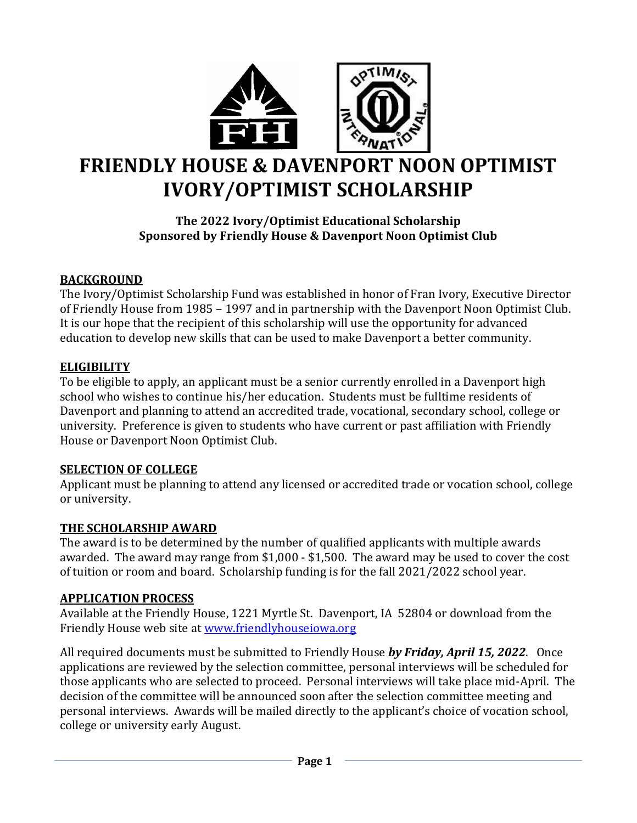

# **FRIENDLY HOUSE & DAVENPORT NOON OPTIMIST IVORY/OPTIMIST SCHOLARSHIP**

# **The 2022 Ivory/Optimist Educational Scholarship Sponsored by Friendly House & Davenport Noon Optimist Club**

# **BACKGROUND**

The Ivory/Optimist Scholarship Fund was established in honor of Fran Ivory, Executive Director of Friendly House from 1985 – 1997 and in partnership with the Davenport Noon Optimist Club. It is our hope that the recipient of this scholarship will use the opportunity for advanced education to develop new skills that can be used to make Davenport a better community.

## **ELIGIBILITY**

To be eligible to apply, an applicant must be a senior currently enrolled in a Davenport high school who wishes to continue his/her education. Students must be fulltime residents of Davenport and planning to attend an accredited trade, vocational, secondary school, college or university. Preference is given to students who have current or past affiliation with Friendly House or Davenport Noon Optimist Club.

## **SELECTION OF COLLEGE**

Applicant must be planning to attend any licensed or accredited trade or vocation school, college or university.

# **THE SCHOLARSHIP AWARD**

The award is to be determined by the number of qualified applicants with multiple awards awarded. The award may range from \$1,000 - \$1,500. The award may be used to cover the cost of tuition or room and board. Scholarship funding is for the fall 2021/2022 school year.

## **APPLICATION PROCESS**

Available at the Friendly House, 1221 Myrtle St. Davenport, IA 52804 or download from the Friendly House web site at [www.friendlyhouseiowa.org](http://www.friendlyhouseiowa.org/)

All required documents must be submitted to Friendly House *by Friday, April 15, 2022*. Once applications are reviewed by the selection committee, personal interviews will be scheduled for those applicants who are selected to proceed. Personal interviews will take place mid-April. The decision of the committee will be announced soon after the selection committee meeting and personal interviews. Awards will be mailed directly to the applicant's choice of vocation school, college or university early August.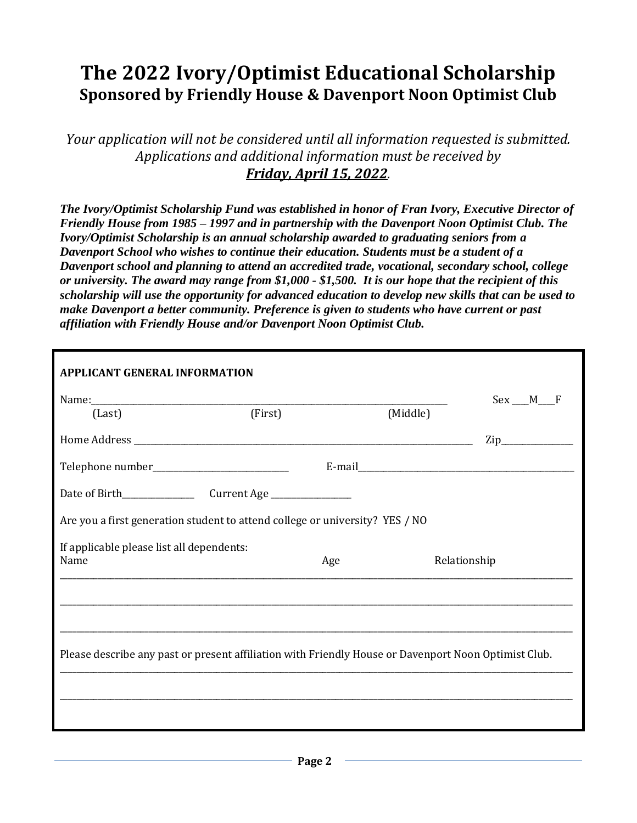# **The 2022 Ivory/Optimist Educational Scholarship Sponsored by Friendly House & Davenport Noon Optimist Club**

*Your application will not be considered until all information requested is submitted. Applications and additional information must be received by Friday, April 15, 2022.*

*The Ivory/Optimist Scholarship Fund was established in honor of Fran Ivory, Executive Director of Friendly House from 1985 – 1997 and in partnership with the Davenport Noon Optimist Club. The Ivory/Optimist Scholarship is an annual scholarship awarded to graduating seniors from a Davenport School who wishes to continue their education. Students must be a student of a Davenport school and planning to attend an accredited trade, vocational, secondary school, college or university. The award may range from \$1,000 - \$1,500. It is our hope that the recipient of this scholarship will use the opportunity for advanced education to develop new skills that can be used to make Davenport a better community. Preference is given to students who have current or past affiliation with Friendly House and/or Davenport Noon Optimist Club.* 

| <b>APPLICANT GENERAL INFORMATION</b>                                                                 |     |          |                  |
|------------------------------------------------------------------------------------------------------|-----|----------|------------------|
| Name: [Last] [First]                                                                                 |     | (Middle) | $Sex$ $M$ $F$    |
|                                                                                                      |     |          | $\mathsf{Zip}\_$ |
|                                                                                                      |     |          |                  |
|                                                                                                      |     |          |                  |
| Are you a first generation student to attend college or university? YES / NO                         |     |          |                  |
| If applicable please list all dependents:<br>Name                                                    | Age |          | Relationship     |
|                                                                                                      |     |          |                  |
| Please describe any past or present affiliation with Friendly House or Davenport Noon Optimist Club. |     |          |                  |
|                                                                                                      |     |          |                  |
|                                                                                                      |     |          |                  |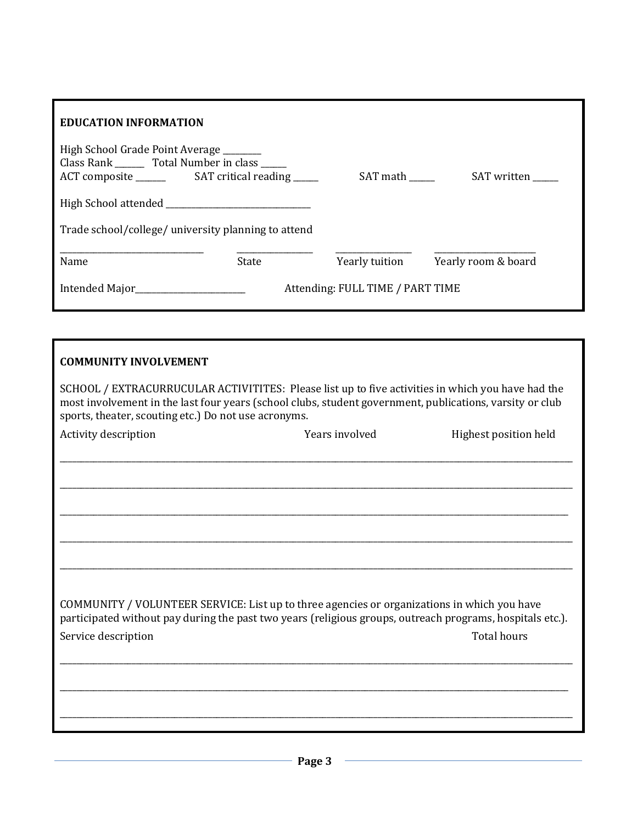| <b>EDUCATION INFORMATION</b>                                                               |                                  |                |                     |  |
|--------------------------------------------------------------------------------------------|----------------------------------|----------------|---------------------|--|
| High School Grade Point Average _______<br>Class Rank ________ Total Number in class _____ |                                  | SAT math       | SAT written         |  |
|                                                                                            |                                  |                |                     |  |
| Trade school/college/ university planning to attend                                        |                                  |                |                     |  |
| Name                                                                                       | State                            | Yearly tuition | Yearly room & board |  |
| Intended Major___________________                                                          | Attending: FULL TIME / PART TIME |                |                     |  |
|                                                                                            |                                  |                |                     |  |

| <b>COMMUNITY INVOLVEMENT</b> |  |
|------------------------------|--|
|------------------------------|--|

SCHOOL / EXTRACURRUCULAR ACTIVITITES: Please list up to five activities in which you have had the most involvement in the last four years (school clubs, student government, publications, varsity or club sports, theater, scouting etc.) Do not use acronyms.

| Activity description | Years involved                                                                                                                                                                                           | Highest position held |
|----------------------|----------------------------------------------------------------------------------------------------------------------------------------------------------------------------------------------------------|-----------------------|
|                      |                                                                                                                                                                                                          |                       |
|                      |                                                                                                                                                                                                          |                       |
|                      |                                                                                                                                                                                                          |                       |
|                      |                                                                                                                                                                                                          |                       |
|                      |                                                                                                                                                                                                          |                       |
|                      |                                                                                                                                                                                                          |                       |
|                      | COMMUNITY / VOLUNTEER SERVICE: List up to three agencies or organizations in which you have<br>participated without pay during the past two years (religious groups, outreach programs, hospitals etc.). |                       |
| Service description  |                                                                                                                                                                                                          | <b>Total hours</b>    |
|                      |                                                                                                                                                                                                          |                       |
|                      |                                                                                                                                                                                                          |                       |
|                      |                                                                                                                                                                                                          |                       |
|                      |                                                                                                                                                                                                          |                       |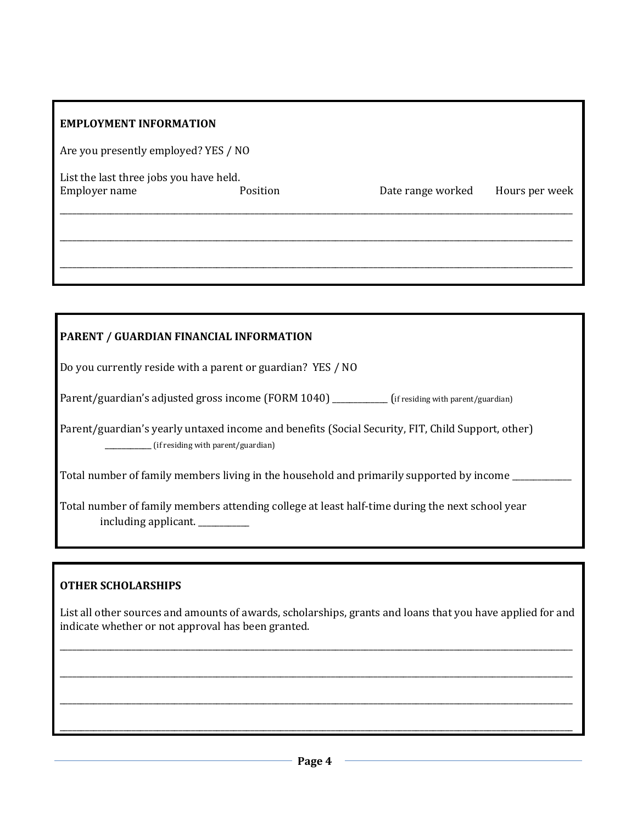| <b>EMPLOYMENT INFORMATION</b>                            |          |                   |                |
|----------------------------------------------------------|----------|-------------------|----------------|
| Are you presently employed? YES / NO                     |          |                   |                |
| List the last three jobs you have held.<br>Employer name | Position | Date range worked | Hours per week |
|                                                          |          |                   |                |

| PARENT / GUARDIAN FINANCIAL INFORMATION                                                                                                 |  |  |  |
|-----------------------------------------------------------------------------------------------------------------------------------------|--|--|--|
| Do you currently reside with a parent or guardian? YES / NO                                                                             |  |  |  |
| Parent/guardian's adjusted gross income (FORM 1040) ________ (if residing with parent/guardian)                                         |  |  |  |
| Parent/guardian's yearly untaxed income and benefits (Social Security, FIT, Child Support, other)<br>(if residing with parent/guardian) |  |  |  |
| Total number of family members living in the household and primarily supported by income                                                |  |  |  |
| Total number of family members attending college at least half-time during the next school year<br>including applicant.                 |  |  |  |

## **OTHER SCHOLARSHIPS**

List all other sources and amounts of awards, scholarships, grants and loans that you have applied for and indicate whether or not approval has been granted.

\_\_\_\_\_\_\_\_\_\_\_\_\_\_\_\_\_\_\_\_\_\_\_\_\_\_\_\_\_\_\_\_\_\_\_\_\_\_\_\_\_\_\_\_\_\_\_\_\_\_\_\_\_\_\_\_\_\_\_\_\_\_\_\_\_\_\_\_\_\_\_\_\_\_\_\_\_\_\_\_\_\_\_\_\_\_\_\_\_\_\_\_\_\_\_\_\_\_\_\_\_\_\_\_\_\_\_\_\_\_\_\_\_\_\_\_\_\_\_\_\_

\_\_\_\_\_\_\_\_\_\_\_\_\_\_\_\_\_\_\_\_\_\_\_\_\_\_\_\_\_\_\_\_\_\_\_\_\_\_\_\_\_\_\_\_\_\_\_\_\_\_\_\_\_\_\_\_\_\_\_\_\_\_\_\_\_\_\_\_\_\_\_\_\_\_\_\_\_\_\_\_\_\_\_\_\_\_\_\_\_\_\_\_\_\_\_\_\_\_\_\_\_\_\_\_\_\_\_\_\_\_\_\_\_\_\_\_\_\_\_\_\_

\_\_\_\_\_\_\_\_\_\_\_\_\_\_\_\_\_\_\_\_\_\_\_\_\_\_\_\_\_\_\_\_\_\_\_\_\_\_\_\_\_\_\_\_\_\_\_\_\_\_\_\_\_\_\_\_\_\_\_\_\_\_\_\_\_\_\_\_\_\_\_\_\_\_\_\_\_\_\_\_\_\_\_\_\_\_\_\_\_\_\_\_\_\_\_\_\_\_\_\_\_\_\_\_\_\_\_\_\_\_\_\_\_\_\_\_\_\_\_\_\_

\_\_\_\_\_\_\_\_\_\_\_\_\_\_\_\_\_\_\_\_\_\_\_\_\_\_\_\_\_\_\_\_\_\_\_\_\_\_\_\_\_\_\_\_\_\_\_\_\_\_\_\_\_\_\_\_\_\_\_\_\_\_\_\_\_\_\_\_\_\_\_\_\_\_\_\_\_\_\_\_\_\_\_\_\_\_\_\_\_\_\_\_\_\_\_\_\_\_\_\_\_\_\_\_\_\_\_\_\_\_\_\_\_\_\_\_\_\_\_\_\_